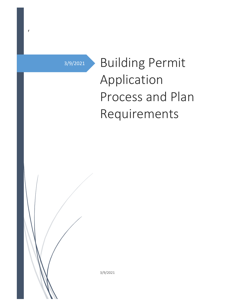3/9/2021

r

# Building Permit Application Process and Plan Requirements

3/9/2021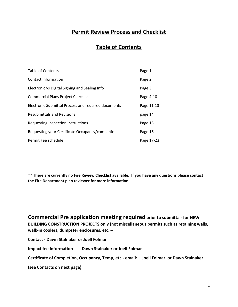## **Permit Review Process and Checklist**

## **Table of Contents**

| <b>Table of Contents</b>                            | Page 1     |
|-----------------------------------------------------|------------|
| Contact information                                 | Page 2     |
| Electronic vs Digital Signing and Sealing Info      | Page 3     |
| <b>Commercial Plans Project Checklist</b>           | Page 4-10  |
| Electronic Submittal Process and required documents | Page 11-13 |
| <b>Resubmittals and Revisions</b>                   | page 14    |
| Requesting Inspection Instructions                  | Page 15    |
| Requesting your Certificate Occupancy/completion    | Page 16    |
| Permit Fee schedule                                 | Page 17-23 |

**\*\* There are currently no Fire Review Checklist available. If you have any questions please contact the Fire Department plan reviewer for more information.**

**Commercial Pre application meeting required prior to submittal- for NEW BUILDING CONSTRUCTION PROJECTS only (not miscellaneous permits such as retaining walls, walk-in coolers, dumpster enclosures, etc. –**

**Contact - Dawn Stalnaker or Joell Folmar**

**Impact fee Information- Dawn Stalnaker or Joell Folmar**

**Certificate of Completion, Occupancy, Temp, etc.- email: Joell Folmar or Dawn Stalnaker**

**(see Contacts on next page)**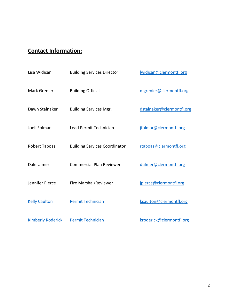# **Contact Information:**

| Lisa Widican             | <b>Building Services Director</b>    | Iwidican@clermontfl.org   |
|--------------------------|--------------------------------------|---------------------------|
| <b>Mark Grenier</b>      | <b>Building Official</b>             | mgrenier@clermontfl.org   |
| Dawn Stalnaker           | <b>Building Services Mgr.</b>        | dstalnaker@clermontfl.org |
| Joell Folmar             | Lead Permit Technician               | jfolmar@clermontfl.org    |
| <b>Robert Taboas</b>     | <b>Building Services Coordinator</b> | rtaboas@clermontfl.org    |
| Dale Ulmer               | <b>Commercial Plan Reviewer</b>      | dulmer@clermontfl.org     |
| Jennifer Pierce          | Fire Marshal/Reviewer                | jpierce@clermontfl.org    |
| <b>Kelly Caulton</b>     | <b>Permit Technician</b>             | kcaulton@clermontfl.org   |
| <b>Kimberly Roderick</b> | <b>Permit Technician</b>             | kroderick@clermontfl.org  |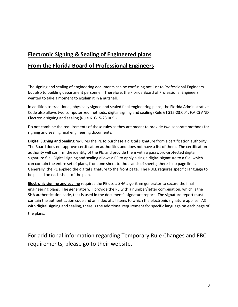# **Electronic Signing & Sealing of Engineered plans From the Florida Board of Professional Engineers**

The signing and sealing of engineering documents can be confusing not just to Professional Engineers, but also to building department personnel. Therefore, the Florida Board of Professional Engineers wanted to take a moment to explain it in a nutshell.

In addition to traditional, physically signed and sealed final engineering plans, the Florida Administrative Code also allows two computerized methods: digital signing and sealing (Rule 61G15-23.004, F.A.C) AND Electronic signing and sealing (Rule 61G15-23.005.)

Do not combine the requirements of these rules as they are meant to provide two separate methods for signing and sealing final engineering documents.

**Digital Signing and Sealing** requires the PE to purchase a digital signature from a certification authority. The Board does not approve certification authorities and does not have a list of them. The certification authority will confirm the identity of the PE, and provide them with a password-protected digital signature file. Digital signing and sealing allows a PE to apply a single digital signature to a file, which can contain the entire set of plans, from one sheet to thousands of sheets; there is no page limit. Generally, the PE applied the digital signature to the front page. The RULE requires specific language to be placed on each sheet of the plan.

**Electronic signing and sealing** requires the PE use a SHA algorithm generator to secure the final engineering plans. The generator will provide the PE with a number/letter combination, which is the SHA authentication code, that is used in the document's signature report. The signature report must contain the authentication code and an index of all items to which the electronic signature applies. AS with digital signing and sealing, there is the additional requirement for specific language on each page of the plans.

For additional information regarding Temporary Rule Changes and FBC requirements, please go to their website.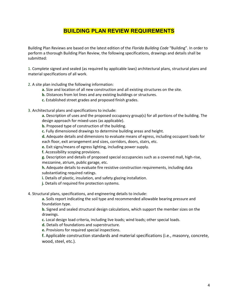## **BUILDING PLAN REVIEW REQUIREMENTS**

Building Plan Reviews are based on the latest edition of the *Florida Building Code* "Building". In order to perform a thorough Building Plan Review, the following specifications, drawings and details shall be submitted:

1. Complete signed and sealed (as required by applicable laws) architectural plans, structural plans and material specifications of all work.

- 2. A site plan including the following information:
	- **a.** Size and location of all new construction and all existing structures on the site.
	- **b.** Distances from lot lines and any existing buildings or structures.
	- **c.** Established street grades and proposed finish grades.
- 3. Architectural plans and specifications to include:

**a.** Description of uses and the proposed occupancy group(s) for all portions of the building. The design approach for mixed-uses (as applicable).

- **b.** Proposed type of construction of the building.
- **c.** Fully dimensioned drawings to determine building areas and height.

**d.** Adequate details and dimensions to evaluate means of egress, including occupant loads for each floor, exit arrangement and sizes, corridors, doors, stairs, etc.

**e.** Exit signs/means of egress lighting, including power supply.

**f.** Accessibility scoping provisions.

**g.** Description and details of proposed special occupancies such as a covered mall, high-rise, mezzanine, atrium, public garage, etc.

**h.** Adequate details to evaluate fire resistive construction requirements, including data substantiating required ratings.

- **i.** Details of plastic, insulation, and safety glazing installation.
- **j.** Details of required fire protection systems.

4. Structural plans, specifications, and engineering details to include:

**a.** Soils report indicating the soil type and recommended allowable bearing pressure and foundation type.

**b.** Signed and sealed structural design calculations, which support the member sizes on the drawings.

- **c.** Local design load criteria, including live loads; wind loads; other special loads.
- **d.** Details of foundations and superstructure.
- **e.** Provisions for required special inspections.

**f.** Applicable construction standards and material specifications (i.e., masonry, concrete, wood, steel, etc.).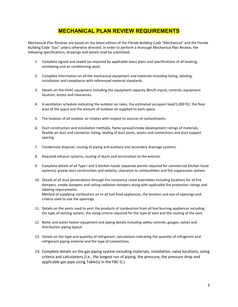## **MECHANICAL PLAN REVIEW REQUIREMENTS**

Mechanical Plan Reviews are based on the latest edition of the *Florida Building Code* "Mechanical" and the Florida Building Code "Gas" unless otherwise directed. In order to perform a thorough Mechanical Plan Review, the following specifications, drawings and details shall be submitted:

- 1. Complete signed and sealed (as required by applicable laws) plans and specifications of all heating, ventilating and air conditioning work.
- 2. Complete information on all the mechanical equipment and materials including listing, labeling, installation and compliance with referenced material standards.
- 3. Details on the HVAC equipment including the equipment capacity (Btu/h input), controls, equipment location, access and clearances.
- 4. A ventilation schedule indicating the outdoor air rates, the estimated occupant load/1,000 ft2, the floor area of the space and the amount of outdoor air supplied to each space.
- 5. The location of all outdoor air intakes with respect to sources of contaminants.
- 6. Duct construction and installation methods, flame spread/smoke development ratings of materials, flexible air duct and connector listing, sealing of duct joints, seams and connections and duct support spacing.
- 7. Condensate disposal, routing of piping and auxiliary and secondary drainage systems.
- 8. Required exhaust systems, routing of ducts and termination to the exterior.
- 9. Complete details of all Type I and II kitchen hoods (separate permit required for commercial kitchen hood systems), grease duct construction and velocity, clearance to combustibles and fire suppression system.
- 10. Details of all duct penetrations through fire-resistance rated assemblies including locations for all fire dampers, smoke dampers and ceiling radiation dampers along with applicable fire protection ratings and labeling requirements. Method of supplying combustion air to all fuel fired appliances, the location and size of openings and criteria used to size the openings.
- 11. Details on the vents used to vent the products of combustion from all fuel burning appliances including the type of venting system, the sizing criteria required for the type of vent and the routing of the vent.
- 12. Boiler and water heater equipment and piping details including safety controls, gauges, valves and distribution piping layout.
- 13. Details on the type and quantity of refrigerant, calculations indicating the quantity of refrigerant and refrigerant piping material and the type of connections.
- 14. Complete details on the gas piping system including materials, installation, valve locations, sizing criteria and calculations (i.e., the longest run of piping, the pressure, the pressure drop and applicable gas pipe sizing Table(s) in the FBC G.)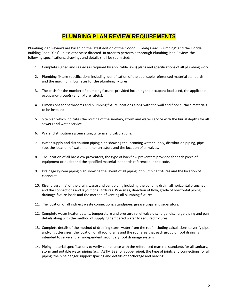## **PLUMBING PLAN REVIEW REQUIREMENTS**

Plumbing Plan Reviews are based on the latest edition of the *Florida Building Code* "Plumbing" and the Florida Building Code "Gas" unless otherwise directed. In order to perform a thorough Plumbing Plan Review, the following specifications, drawings and details shall be submitted:

- 1. Complete signed and sealed (as required by applicable laws) plans and specifications of all plumbing work.
- 2. Plumbing fixture specifications including identification of the applicable referenced material standards and the maximum flow rates for the plumbing fixtures.
- 3. The basis for the number of plumbing fixtures provided including the occupant load used, the applicable occupancy group(s) and fixture rate(s).
- 4. Dimensions for bathrooms and plumbing fixture locations along with the wall and floor surface materials to be installed.
- 5. Site plan which indicates the routing of the sanitary, storm and water service with the burial depths for all sewers and water service.
- 6. Water distribution system sizing criteria and calculations.
- 7. Water supply and distribution piping plan showing the incoming water supply, distribution piping, pipe size, the location of water hammer arrestors and the location of all valves.
- 8. The location of all backflow preventers, the type of backflow preventers provided for each piece of equipment or outlet and the specified material standards referenced in the code.
- 9. Drainage system piping plan showing the layout of all piping, of plumbing fixtures and the location of cleanouts.
- 10. Riser diagram(s) of the drain, waste and vent piping including the building drain, all horizontal branches and the connections and layout of all fixtures. Pipe sizes, direction of flow, grade of horizontal piping, drainage fixture loads and the method of venting all plumbing fixtures.
- 11. The location of all indirect waste connections, standpipes, grease traps and separators.
- 12. Complete water heater details, temperature and pressure relief valve discharge, discharge piping and pan details along with the method of supplying tempered water to required fixtures.
- 13. Complete details of the method of draining storm water from the roof including calculations to verify pipe and/or gutter sizes, the location of all roof drains and the roof area that each group of roof drains is intended to serve and an independent secondary roof drainage system.
- 14. Piping material specifications to verify compliance with the referenced material standards for all sanitary, storm and potable water piping (e.g., ASTM B88 for copper pipe), the type of joints and connections for all piping, the pipe hanger support spacing and details of anchorage and bracing.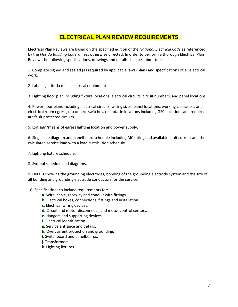## **ELECTRICAL PLAN REVIEW REQUIREMENTS**

Electrical Plan Reviews are based on the specified edition of the *National Electrical Code* as referenced by the *Florida Building Code* unless otherwise directed. In order to perform a thorough Electrical Plan Review, the following specifications, drawings and details shall be submitted:

1. Complete signed and sealed (as required by applicable laws) plans and specifications of all electrical work.

2. Labeling criteria of all electrical equipment.

3. Lighting floor plan including fixture locations, electrical circuits, circuit numbers, and panel locations.

4. Power floor plans including electrical circuits, wiring sizes, panel locations, working clearances and electrical room egress, disconnect switches, receptacle locations including GFCI locations and required arc fault protected circuits.

5. Exit sign/means of egress lighting location and power supply.

6. Single line diagram and panelboard schedule including AIC rating and available fault current and the calculated service load with a load distribution schedule.

- 7. Lighting fixture schedule.
- 8. Symbol schedule and diagrams.

9. Details showing the grounding electrodes, bonding of the grounding electrode system and the size of all bonding and grounding electrode conductors for the service.

10. Specifications to include requirements for:

- **a.** Wire, cable, raceway and conduit with fittings.
- **b.** Electrical boxes, connections, fittings and installation.
- **c.** Electrical wiring devices.
- **d.** Circuit and motor disconnects, and motor control centers.
- **e.** Hangers and supporting devices.
- **f.** Electrical identification.
- **g.** Service entrance and details.
- **h.** Overcurrent protection and grounding.
- **i.** Switchboard and panelboards.
- **j.** Transformers.
- **k.** Lighting fixtures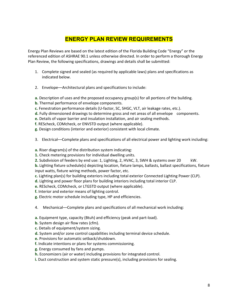## **ENERGY PLAN REVIEW REQUIREMENTS**

Energy Plan Reviews are based on the latest edition of the Florida Building Code "Energy" or the referenced edition of ASHRAE 90.1 unless otherwise directed. In order to perform a thorough Energy Plan Review, the following specifications, drawings and details shall be submitted:

- 1. Complete signed and sealed (as required by applicable laws) plans and specifications as indicated below.
- 2. Envelope––Architectural plans and specifications to include:
- **a.** Description of uses and the proposed occupancy group(s) for all portions of the building.
- **b.** Thermal performance of envelope components.
- **c.** Fenestration performance details (U-factor, SC, SHGC, VLT, air leakage rates, etc.).
- **d.** Fully dimensioned drawings to determine gross and net areas of all envelope components.
- **e.** Details of vapor barrier and insulation installation, and air sealing methods.
- **f.** REScheck, COMcheck, or ENVSTD output (where applicable).
- **g.** Design conditions (interior and exterior) consistent with local climate.
- 3. Electrical––Complete plans and specifications of all electrical power and lighting work including:
- **a.** Riser diagram(s) of the distribution system indicating:
- **1.** Check metering provisions for individual dwelling units.
- **2.** Subdivision of feeders by end use: 1, Lighting, 2, HVAC, 3, SWH & systems over 20 kW.
- **b.** Lighting fixture schedule(s) depicting location, fixture lamps, ballasts, ballast specifications, fixture input watts, fixture wiring methods, power factor, etc.
- **c.** Lighting plan(s) for building exteriors including total exterior Connected Lighting Power (CLP).
- **d.** Lighting and power floor plans for building interiors including total interior CLP.
- **e.** REScheck, COMcheck, or LTGSTD output (where applicable).
- **f.** Interior and exterior means of lighting control.
- **g.** Electric motor schedule including type, HP and efficiencies.
- 4. Mechanical––Complete plans and specifications of all mechanical work including:
- **a.** Equipment type, capacity (Btuh) and efficiency (peak and part-load).
- **b.** System design air flow rates (cfm).
- **c.** Details of equipment/system sizing.
- **d.** System and/or zone control capabilities including terminal device schedule.
- **e.** Provisions for automatic setback/shutdown.
- **f.** Indicate intentions or plans for systems commissioning.
- **g.** Energy consumed by fans and pumps.
- **h.** Economizers (air or water) including provisions for integrated control.
- **i.** Duct construction and system static pressure(s), including provisions for sealing.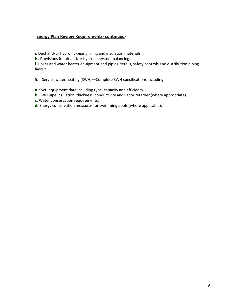#### **Energy Plan Review Requirements- continued-**

**j.** Duct and/or hydronic-piping lining and insulation materials.

**k.** Provisions for air and/or hydronic system balancing.

**l.** Boiler and water heater equipment and piping details, safety controls and distribution piping layout.

- 5. Service water heating (SWH)––Complete SWH specifications including:
- **a.** SWH equipment data including type, capacity and efficiency.
- **b.** SWH pipe insulation, thickness, conductivity and vapor retarder (where appropriate).
- **c.** Water conservation requirements.
- **d.** Energy conservation measures for swimming pools (where applicable).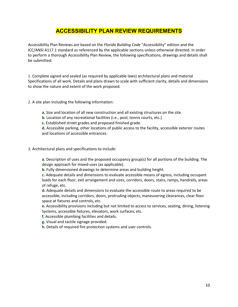## **ACCESSIBILITY PLAN REVIEW REQUIREMENTS**

Accessibility Plan Reviews are based on the *Florida Building Code* "Accessibility" edition and the ICC/ANSI A117.1 standard as referenced by the applicable sections unless otherwise directed. In order to perform a thorough Accessibility Plan Review, the following specifications, drawings and details shall be submitted:

1. Complete signed and sealed (as required by applicable laws) architectural plans and material Specifications of all work. Details and plans drawn to scale with sufficient clarity, details and dimensions to show the nature and extent of the work proposed.

2. A site plan including the following information:

**a.** Size and location of all new construction and all existing structures on the site.

**b.** Location of any recreational facilities (i.e., pool, tennis courts, etc.)

**c.** Established street grades and proposed finished grade.

**d.** Accessible parking, other locations of public access to the facility, accessible exterior routes and locations of accessible entrances.

#### 3. Architectural plans and specifications to include:

**a.** Description of uses and the proposed occupancy group(s) for all portions of the building. The design approach for mixed-uses (as applicable).

**b.** Fully dimensioned drawings to determine areas and building height.

**c.** Adequate details and dimensions to evaluate accessible means of egress, including occupant loads for each floor, exit arrangement and sizes, corridors, doors, stairs, ramps, handrails, areas of refuge, etc.

**d.** Adequate details and dimensions to evaluate the accessible route to areas required to be accessible, including corridors, doors, protruding objects, maneuvering clearances, clear floor space at fixtures and controls, etc.

**e.** Accessibility provisions including but not limited to access to services, seating, dining, listening Systems, accessible fixtures, elevators, work surfaces, etc.

**f.** Accessible plumbing facilities and details.

**g.** Visual and tactile signage provided.

**h.** Details of required fire protection systems and user controls.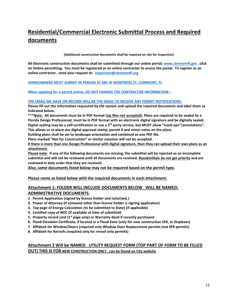# **Residential/Commercial Electronic Submittal Process and Required documents**

**(Additional construction documents shall be required on site for inspection)**

**All Electronic construction documents shall be submitted through our online portal; [www.clermontfl.gov](http://www.clermontfl.gov/) , click on Online permitting. You must be registered as an online contractor to access the portal. To register as an online contractor , send your request to: [inspection@clermontfl.org](mailto:inspection@clermontfl.org)**

**HOMEOWNERS MUST SUBMIT IN PERSON AT 685 W MONTROSE ST, CLERMONT, FL**

**When applying for a permit online, DO NOT CHANGE THE CONTRACTOR INFORMATION –**

#### **THE EMAIL WE HAVE ON RECORD WILL BE THE EMAIL TO RECEIVE ANY PERMIT NOTIFICATIONS.**

**Please fill out the information requested by the system and upload the required documents and label them as indicated below.**

**\*\*\*Note: All documents must be in PDF format (zip files not accepted). Plans are required to be sealed by a Florida Design Professional, must be in PDF format with an electronic digital signature and be digitally sealed. Digital sealing may be a self-certification or use a 3rd party service, but MUST allow "mark-ups"/annotations".** 

**This allows us to place our digital approval stamp, permit # and minor notes on the plans.**

**Building plans shall be set to landscape orientation and combined as one PDF file.**

**Plans marked "Not for Construction" or similar notation will not be accepted.**

**If there is more than one Design Professional with digital signature, then they can upload their own plans as an attachment.**

**Please note: If any of the following documents are missing, the submittal will be rejected as an incomplete submittal and will not be reviewed until all documents are received. Resubmittals do not get priority and are reviewed in date order that they are received.**

**Also, some documents listed below may not be required based on the permit type.**

#### **Please name as listed below with the required documents in each attachment.**

#### **Attachment 1: FOLDER WILL INCLUDE DOCUMENTS BELOW WILL BE NAMED: ADMINISTRATIVE DOCUMENTS:**

- **1. Permit Application (signed by license holder and notarized.)**
- **2. Power of Attorney (if someone other than license holder is signing application)**
- **3. Top page of Energy Calculation (to be submitted to State) (if applicable)**
- **4. Certified copy of NOC (if available at time of submittal)**
- **5. Property record card (1st page only) or Warranty deed if recently purchased**
- **6. Flood Elevation Certificate, if located in a Flood Zone (only for new construction SFR, or Duplexes)**
- **7. Affidavit for Window/Doors (required only Window Door Replacement permits (not SFR permits)**
- **8. Affidavit for Reroofs (required only for reroof only permits)**

#### **Attachment 2 Will be NAMED**: **UTILITY REQUEST FORM (TOP PART OF FORM TO BE FILLED OUT) THIS IS FOR NEW CONSTRUCTION ONLY , can be found on City website**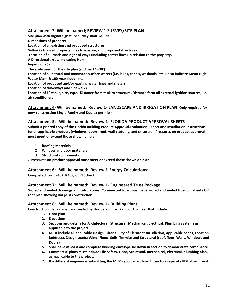#### **Attachment 3: Will be named; REVIEW 1 SURVEY/SITE PLAN**

**Site plan with digital signature survey shall include: Dimensions of property Location of all existing and proposed structures Setbacks from all property lines to existing and proposed structures. Location of all roads and right of ways (including center lines) in relation to the property. A Directional arrow indicating North. Impervious % The scale used for the site plan (such as 1" =30') Location of all natural and manmade surface waters (i.e. lakes, canals, wetlands, etc.), also indicate Mean High Water Mark & 100-year flood line. Location of proposed and/or existing water lines and meters. Location of driveways and sidewalks Location of LP tanks, size, type. Distance from tank to structure. Distance form all external ignition sources, i.e. air conditioner.**

**Attachment 4- Will be named: Review 1- LANDSCAPE AND IRRIGATION PLAN- Only required for new construction Single Family and Duplex permits)**

#### **Attachment 5: Will be named: Review 1- FLORIDA PRODUCT APPROVAL SHEETS**

**Submit a printed copy of the Florida Building Product Approval-Evaluation Report and Installation Instructions for all applicable products (windows, doors, roof, wall cladding, and et cetera: Pressures on product approval must meet or exceed those shown on plan.**

- **1 Roofing Materials**
- **2 Window and door materials**
- **3 Structural components**

**. Pressures on product approval must meet or exceed those shown on plan.**

#### **Attachment 6: Will be named: Review 1-Energy Calculations:**

**Completed form R402, R405, or REScheck**

#### **Attachment 7: Will be named: Review 1- Engineered Truss Package**

**Signed and sealed drawings and calculations (Commercial truss must have signed and sealed truss cut sheets OR roof plan showing bar joist construction**

#### **Attachment 8: Will be named: Review 1- Building Plans**

**Construction plans signed and sealed by Florida architect/and or Engineer that include:** 

- **1. Floor plan**
- **2. Elevations**
- **3. Sections and details for Architectural, Structural, Mechanical, Electrical, Plumbing systems as applicable to the project**
- **4. Must include all applicable Design Criteria, City of Clermont Jurisdiction, Applicable codes, Location (address), Design Loads: Wind, Flood, Soils, Termite and Structural (roof, floor, Walls, Windows and Doors)**
- **5. Shall have at least one complete building envelope tie down in section to demonstrate compliance.**
- **6. Commercial plans must include Life Safety, Floor, Structural, mechanical, electrical, plumbing plan, as applicable to the project.**
- **7. If a different engineer is submitting the MEP's you can up load those to a separate PDF attachment.**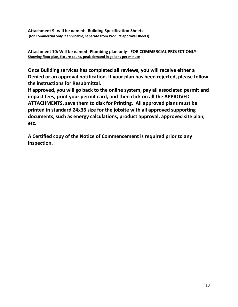**Attachment 9- will be named: Building Specification Sheets:**

**(for Commercial only if applicable, separate from Product approval sheets)**

**Attachment 10: Will be named- Plumbing plan only- FOR COMMERCIAL PROJECT ONLY-Showing floor plan, fixture count, peak demand in gallons per minute**

**Once Building services has completed all reviews, you will receive either a Denied or an approval notification. If your plan has been rejected, please follow the instructions for Resubmittal.**

**If approved, you will go back to the online system, pay all associated permit and impact fees, print your permit card, and then click on all the APPROVED ATTACHMENTS, save them to disk for Printing. All approved plans must be printed in standard 24x36 size for the jobsite with all approved supporting documents, such as energy calculations, product approval, approved site plan, etc.**

**A Certified copy of the Notice of Commencement is required prior to any inspection.**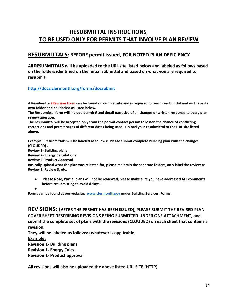## **RESUBMITTAL INSTRUCTIONS TO BE USED ONLY FOR PERMITS THAT INVOLVE PLAN REVIEW**

## **RESUBMITTALS: BEFORE permit issued, FOR NOTED PLAN DEFICIENCY**

**All RESUBMITTALS will be uploaded to the URL site listed below and labeled as follows based on the folders identified on the initial submittal and based on what you are required to resubmit.**

### **<http://docs.clermontfl.org/forms/docsubmit>**

**A Resubmittal/Revision Form can be found on our website and is required for each resubmittal and will have its own folder and be labeled as listed below.**

**The Resubmittal form will include permit # and detail narrative of all changes or written response to every plan review question.**

**The resubmittal will be accepted only from the permit contact person to lessen the chance of conflicting corrections and permit pages of different dates being used. Upload your resubmittal to the URL site listed above.**

**Example: Resubmittals will be labeled as follows: Please submit complete building plan with the changes (CLOUDED) .**

**Review 2- Building plans**

**Review 2- Energy Calculations**

**Review 2- Product Approval**

**Basically upload what the plan was rejected for, please maintain the separate folders, only label the review as Review 2, Review 3, etc.**

• **Please Note, Partial plans will not be reviewed, please make sure you have addressed ALL comments before resubmitting to avoid delays.**

•

**Forms can be found at our website: [www.clermontfl.gov](http://www.clermontfl.gov/) under Building Services, Forms.**

**REVISIONS: (AFTER THE PERMIT HAS BEEN ISSUED), PLEASE SUBMIT THE REVISED PLAN COVER SHEET DESCRIBING REVISIONS BEING SUBMITTED UNDER ONE ATTACHMENT, and submit the complete set of plans with the revisions (CLOUDED) on each sheet that contains a revision.**

**They will be labeled as follows: (whatever is applicable)**

**Example:**

**Revision 1- Building plans**

**Revision 1- Energy Calcs**

**Revision 1- Product approval**

**All revisions will also be uploaded the above listed URL SITE (HTTP)**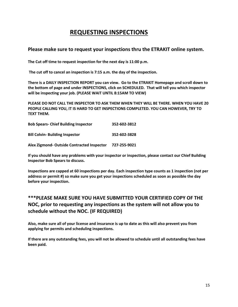## **REQUESTING INSPECTIONS**

## **Please make sure to request your inspections thru the ETRAKIT online system.**

**The Cut off time to request inspection for the next day is 11:00 p.m.**

**The cut off to cancel an inspection is 7:15 a.m. the day of the inspection.**

**There is a DAILY INSPECTION REPORT you can view. Go to the ETRAKIT Homepage and scroll down to the bottom of page and under INSPECTIONS, click on SCHEDULED. That will tell you which inspector will be inspecting your job. (PLEASE WAIT UNTIL 8:15AM TO VIEW)**

**PLEASE DO NOT CALL THE INSPECTOR TO ASK THEM WHEN THEY WILL BE THERE. WHEN YOU HAVE 20 PEOPLE CALLING YOU, IT IS HARD TO GET INSPECTIONS COMPLETED. YOU CAN HOWEVER, TRY TO TEXT THEM.**

| <b>Bob Spears- Chief Building Inspector</b> | 352-602-3812 |
|---------------------------------------------|--------------|
| <b>Bill Colvin- Building Inspector</b>      | 352-602-3828 |
| Alex Zigmond-Outside Contracted Inspector   | 727-255-9021 |

**If you should have any problems with your inspector or inspection, please contact our Chief Building Inspector Bob Spears to discuss.**

**Inspections are capped at 60 inspections per day. Each inspection type counts as 1 inspection (not per address or permit #) so make sure you get your inspections scheduled as soon as possible the day before your inspection.**

## **\*\*\*PLEASE MAKE SURE YOU HAVE SUBMITTED YOUR CERTIFIED COPY OF THE NOC, prior to requesting any inspections as the system will not allow you to schedule without the NOC. (IF REQUIRED)**

**Also, make sure all of your license and insurance is up to date as this will also prevent you from applying for permits and scheduling inspections.**

**If there are any outstanding fees, you will not be allowed to schedule until all outstanding fees have been paid.**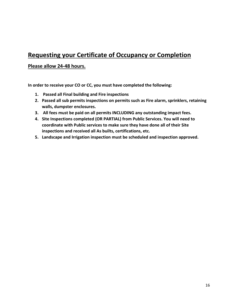# **Requesting your Certificate of Occupancy or Completion**

## **Please allow 24-48 hours.**

**In order to receive your CO or CC, you must have completed the following:**

- **1. Passed all Final building and Fire inspections**
- **2. Passed all sub permits inspections on permits such as Fire alarm, sprinklers, retaining walls, dumpster enclosures.**
- **3. All fees must be paid on all permits INCLUDING any outstanding impact fees.**
- **4. Site Inspections completed (OR PARTIAL) from Public Services. You will need to coordinate with Public services to make sure they have done all of their Site inspections and received all As builts, certifications, etc.**
- **5. Landscape and Irrigation inspection must be scheduled and inspection approved.**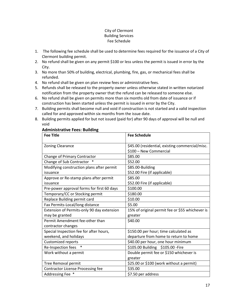#### City of Clermont Building Services Fee Schedule

- 1. The following fee schedule shall be used to determine fees required for the issuance of a City of Clermont building permit.
- 2. No refund shall be given on any permit \$100 or less unless the permit is issued in error by the City.
- 3. No more than 50% of building, electrical, plumbing, fire, gas, or mechanical fees shall be refunded.
- 4. No refund shall be given on plan review fees or administrative fees.
- 5. Refunds shall be released to the property owner unless otherwise stated in written notarized notification from the property owner that the refund can be released to someone else.
- 6. No refund shall be given on permits more than six months old from date of issuance or if construction has been started unless the permit is issued in error by the City.
- 7. Building permits shall become null and void if construction is not started and a valid inspection called for and approved within six months from the issue date.
- 8. Building permits applied for but not issued (paid for) after 90 days of approval will be null and void

#### **Administrative Fees: Building**

| <b>Fee Title</b>                           | <b>Fee Schedule</b>                             |
|--------------------------------------------|-------------------------------------------------|
|                                            |                                                 |
| <b>Zoning Clearance</b>                    | \$45.00 (residential, existing commercial/misc. |
|                                            | \$100 - New Commercial                          |
| Change of Primary Contractor               | \$85.00                                         |
| Change of Sub Contractor                   | \$52.00                                         |
| Modifying construction plans after permit  | \$85.00-Building                                |
| issuance                                   | \$52.00 Fire (if applicable)                    |
| Approve or Re-stamp plans after permit     | \$85.00                                         |
| issuance                                   | \$52.00 Fire (if applicable)                    |
| Pre-power approval forms for first 60 days | \$100.00                                        |
| Temporary/CC or Stocking permit            | \$180.00                                        |
| Replace Building permit card               | \$10.00                                         |
| Fax Permits-Local/long distance            | \$5.00                                          |
| Extension of Permits-only 90 day extension | 15% of original permit fee or \$55 whichever is |
| may be granted                             | greater                                         |
| Permit Amendment fee-other than            | \$40.00                                         |
| contractor changes                         |                                                 |
| Special Inspection fee for after hours,    | \$150.00 per hour; time calculated as           |
| weekend, and holidays                      | departure from home to return to home           |
| Customized reports                         | \$40.00 per hour, one hour minimum              |
| Re-Inspection fees<br>$\ast$               | \$105.00 Building \$105.00 - Fire               |
| Work without a permit                      | Double permit fee or \$150 whichever is         |
|                                            | greater                                         |
| Tree Removal permit                        | \$25.00 or \$100 (work without a permit)        |
| <b>Contractor License Processing fee</b>   | \$35.00                                         |
| Addressing Fee *                           | \$7.50 per address                              |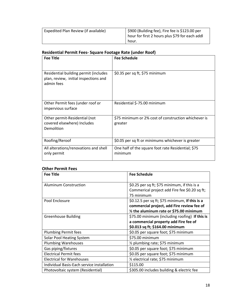| Expedited Plan Review (if available) | \$900 (Building fee), Fire fee is \$123.00 per<br>hour for first 2 hours plus \$79 for each addl |
|--------------------------------------|--------------------------------------------------------------------------------------------------|
|                                      | hour.                                                                                            |

## **Residential Permit Fees- Square Footage Rate (under Roof)**

| <b>Fee Title</b>                                                                             | <b>Fee Schedule</b>                                             |
|----------------------------------------------------------------------------------------------|-----------------------------------------------------------------|
|                                                                                              |                                                                 |
| Residential building permit (includes<br>plan, review, initial inspections and<br>admin fees | \$0.35 per sq ft, \$75 minimum                                  |
| Other Permit fees (under roof or<br>impervious surface                                       | Residential \$-75.00 minimum                                    |
| Other permit-Residential (not<br>covered elsewhere) Includes<br>Demolition                   | \$75 minimum or 2% cost of construction whichever is<br>greater |
| Roofing/Reroof                                                                               | \$0.05 per sq ft or minimums whichever is greater               |
| All alterations/renovations and shell<br>only permit                                         | One half of the square foot rate Residential; \$75<br>minimum   |

## **Other Permit Fees**

| <b>Fee Title</b>                           | <b>Fee Schedule</b>                                                                                                                      |
|--------------------------------------------|------------------------------------------------------------------------------------------------------------------------------------------|
| Aluminum Construction                      | \$0.25 per sq ft; \$75 minimum, if this is a<br>Commerical project add Fire fee \$0.20 sq ft;<br>75 minimum                              |
| Pool Enclosure                             | \$0.12.5 per sq ft; \$75 minimum, If this is a<br>commercial project, add Fire review fee of<br>1/2 the aluminum rate or \$75.00 minimum |
| <b>Greenhouse Building</b>                 | \$75.00 minimum (including roofing) If this is<br>a commercial property add Fire fee of<br>\$0.013 sq ft; \$164.00 minimum               |
| <b>Plumbing Permit fees</b>                | \$0.05 per square foot; \$75 minimum                                                                                                     |
| Solar Pool Heating System                  | \$75.00 minimum                                                                                                                          |
| <b>Plumbing Warehouses</b>                 | 1/2 plumbing rate; \$75 minimum                                                                                                          |
| Gas piping/fixtures                        | \$0.05 per square foot; \$75 minimum                                                                                                     |
| <b>Electrical Permit fees</b>              | \$0.05 per square foot; \$75 minimum                                                                                                     |
| <b>Electrical for Warehouses</b>           | 1/ <sub>2</sub> electrical rate; \$75 minimum                                                                                            |
| Individual Basis-Each service installation | \$115.00                                                                                                                                 |
| Photovoltaic system (Residential)          | \$305.00 includes building & electric fee                                                                                                |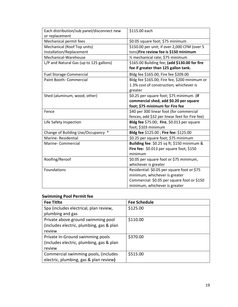| Each distribution/sub panel/disconnect new | \$115.00 each                                  |
|--------------------------------------------|------------------------------------------------|
| or replacement                             |                                                |
| Mechanical permit fees                     | \$0.05 square foot; \$75 minimum               |
| Mechanical (Roof Top units)                | \$150.00 per unit; if over 2,000 CFM (over 5   |
| Installation/Replacement                   | tons)Fire review fee is \$150 minimum          |
| Mechanical-Warehouse                       | 1/ <sub>2</sub> mechanical rate; \$75 minimum  |
| L/P and Natural Gas (up to 125 gallons)    | \$165.00 Building fee; (add \$130.00 for fire  |
|                                            | fee if greater than 125 gallon tank.           |
| <b>Fuel Storage-Commercial</b>             | Bldg fee \$165.00; Fire fee \$209.00           |
| Paint Booth- Commercial                    | Bldg fee \$165.00; Fire fee, \$200 minimum or  |
|                                            | 1.3% cost of construction; whichever is        |
|                                            | greater                                        |
| Shed (aluminum, wood, other)               | \$0.25 per square foot; \$75 minimum. (if      |
|                                            | commercial shed, add \$0.20 per square         |
|                                            | foot; \$75 minimum for Fire fee                |
| Fence                                      | \$40 per 300 linear foot (for commercial       |
|                                            | fences, add \$32 per linear feet for Fire fee) |
| Life Safety Inspection                     | Bldg fee \$75.00; Fire, \$0.013 per square     |
|                                            | foot; \$103 minimum                            |
| $\ast$<br>Change of Building Use/Occupancy | Bldg fee \$125.00 ; Fire fee: \$125.00         |
| Marine-Residential                         | \$0.25 per square foot; \$75 minimum           |
| Marine-Commercial                          | Building fee: \$0.25 sq ft; \$150 minimum &    |
|                                            | Fire fee: \$0.013 per square foot; \$150       |
|                                            | minimum                                        |
| Roofing/Reroof                             | \$0.05 per square foot or \$75 minimum,        |
|                                            | whichever is greater                           |
| Foundations                                | Residential: \$0.05 per square foot or \$75    |
|                                            | minimum, whichever is greater                  |
|                                            | Commercial: \$0.05 per square foot or \$150    |
|                                            | minimum, whichever is greater                  |

## **Swimming Pool Permit fee**

| <b>Fee Titlte</b>                        | <b>Fee Schedule</b> |
|------------------------------------------|---------------------|
| Spa (includes electrical, plan review,   | \$125.00            |
| plumbing and gas                         |                     |
| Private above ground swimming pool       | \$110.00            |
| (includes electric, plumbing, gas & plan |                     |
| review                                   |                     |
| Private In-Ground swimming pools         | \$370.00            |
| (includes electric, plumbing, gas & plan |                     |
| review                                   |                     |
| Commercial swimming pools, (includes     | \$515.00            |
| electric, plumbing, gas & plan review)   |                     |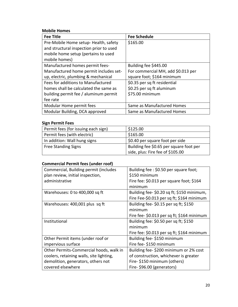## **Mobile Homes**

| <b>Fee Title</b>                        | <b>Fee Schedule</b>                |
|-----------------------------------------|------------------------------------|
| Pre-Mobile Home setup-Health, safety    | \$165.00                           |
| and structural inspection prior to used |                                    |
| mobile home setup (pertains to used     |                                    |
| mobile homes)                           |                                    |
| Manufactured homes permit fees-         | Building fee \$445.00              |
| Manufactured home permit includes set-  | For commercial MH, add \$0.013 per |
| up, electric, plumbing & mechanical     | square foot; \$164 minimum         |
| Fees for additions to Manufactured      | \$0.35 per sq ft residential       |
| homes shall be calculated the same as   | \$0.25 per sq ft aluminum          |
| building permit fee / aluminum permit   | \$75.00 minimum                    |
| fee rate                                |                                    |
| Modular Home permit fees                | Same as Manufactured Homes         |
| Modular Building, DCA approved          | Same as Manufactured Homes         |

#### **Sign Permit Fees**

| Permit fees (for issuing each sign) | \$125.00                                |
|-------------------------------------|-----------------------------------------|
| Permit fees (with electric)         | \$165.00                                |
| In addition: Wall hung signs        | \$0.40 per square foot per side         |
| <b>Free Standing Signs</b>          | Building fee \$0.65 per square foot per |
|                                     | side, plus: Fire fee of \$105.00        |

## **Commercial Permit fees (under roof)**

| Commercial, Building permit (includes    | Building fee: \$0.50 per square foot;      |
|------------------------------------------|--------------------------------------------|
| plan review, initial inspection,         | \$150 minimum                              |
| administrative                           | Fire fee: \$0.013 per square foot; \$164   |
|                                          | minimum                                    |
| Warehouses: 0 to 400,000 sq ft           | Building fee-\$0.20 sq ft; \$150 minimum,  |
|                                          | Fire Fee-\$0.013 per sq ft; \$164 minimum  |
| Warehouses: 400,001 plus sq ft           | Building fee-\$0.15 per sq ft; \$150       |
|                                          | minimum                                    |
|                                          | Fire fee- \$0.013 per sq ft; \$164 minimum |
| Institutional                            | Building fee: \$0.50 per sq ft; \$150      |
|                                          | minimum                                    |
|                                          | Fire fee: \$0.013 per sq ft; \$164 minimum |
| Other Permit items (under roof or        | Building fee-\$150 minimum                 |
| impervious surface                       | Fire fee- \$150 minimum                    |
| Other Permits-Commercial hoods, walk in  | Building fee-\$200 minimum or 2% cost      |
| coolers, retaining walls, site lighting, | of construction, whichever is greater      |
| demolition, generators, others not       | Fire-\$150 minimum (others)                |
| covered elsewhere                        | Fire-\$96.00 (generators)                  |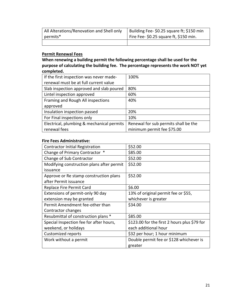| All Alterations/Renovation and Shell only | Building Fee- \$0.25 square ft; \$150 min |
|-------------------------------------------|-------------------------------------------|
| permits*                                  | Fire Fee- $$0.25$ square ft, \$150 min.   |
|                                           |                                           |

## **Permit Renewal Fees**

**When renewing a building permit the following percentage shall be used for the purpose of calculating the building fee. The percentage represents the work NOT yet completed.**

| If the first inspection was never made-   | 100%                                 |
|-------------------------------------------|--------------------------------------|
| renewal must be at full current value     |                                      |
| Slab inspection approved and slab poured  | 80%                                  |
| Lintel inspection approved                | 60%                                  |
| Framing and Rough All inspections         | 40%                                  |
| approved                                  |                                      |
| Insulation inspection passed              | 20%                                  |
| For Final inspections only                | 10%                                  |
| Electrical, plumbing & mechanical permits | Renewal for sub permits shall be the |
| renewal fees                              | minimum permit fee \$75.00           |

#### **Fire Fees Administrative:**

| <b>Contractor Initial Registration</b>    | \$52.00                                      |
|-------------------------------------------|----------------------------------------------|
| Change of Primary Contractor *            | \$85.00                                      |
| Change of Sub Contractor                  | \$52.00                                      |
| Modifying construction plans after permit | \$52.00                                      |
| issuance                                  |                                              |
| Approve or Re stamp construction plans    | \$52.00                                      |
| after Permit issuance                     |                                              |
| Replace Fire Permit Card                  | \$6.00                                       |
| Extensions of permit-only 90 day          | 13% of original permit fee or \$55,          |
| extension may be granted                  | whichever is greater                         |
| Permit Amendment fee-other than           | \$34.00                                      |
| Contractor changes                        |                                              |
| Resubmittal of construction plans *       | \$85.00                                      |
| Special Inspection fee for after hours,   | \$123.00 for the first 2 hours plus \$79 for |
| weekend, or holidays                      | each additional hour                         |
| Customized reports                        | \$32 per hour; 1 hour minimum                |
| Work without a permit                     | Double permit fee or \$128 whichever is      |
|                                           | greater                                      |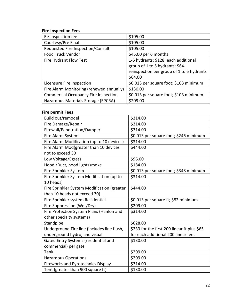## **Fire Inspection Fees**

| Re-inspection fee                           | \$105.00                                  |
|---------------------------------------------|-------------------------------------------|
| Courtesy/Pre Final                          | \$105.00                                  |
| Requested Fire Inspection/Consult           | \$105.00                                  |
| Food Truck Vendor                           | \$45.00 per 6 months                      |
| Fire Hydrant Flow Test                      | 1-5 hydrants; \$128; each additional      |
|                                             | group of 1 to 5 hydrants: \$64-           |
|                                             | reinspection per group of 1 to 5 hydrants |
|                                             | \$64.00                                   |
| Licensure Fire Inspection                   | \$0.013 per square foot; \$103 minimum    |
| Fire Alarm Monitoring (renewed annually)    | \$130.00                                  |
| <b>Commercial Occupancy Fire Inspection</b> | \$0.013 per square foot; \$103 minimum    |
| Hazardous Materials Storage (EPCRA)         | \$209.00                                  |

## **Fire permit Fees**

| \$314.00                                    |
|---------------------------------------------|
| \$314.00                                    |
| \$314.00                                    |
| \$0.013 per square foot; \$246 minimum      |
| \$314.00                                    |
| \$444.00                                    |
|                                             |
| \$96.00                                     |
| \$184.00                                    |
| \$0.013 per square foot; \$348 minimum      |
| \$314.00                                    |
|                                             |
| \$444.00                                    |
|                                             |
| \$0.013 per square ft; \$82 minimum         |
| \$209.00                                    |
| \$314.00                                    |
|                                             |
| \$628.00                                    |
| \$233 for the first 200 linear ft plus \$65 |
| for each additional 200 linear feet         |
| \$130.00                                    |
|                                             |
| \$209.00                                    |
| \$209.00                                    |
| \$314.00                                    |
| \$130.00                                    |
|                                             |